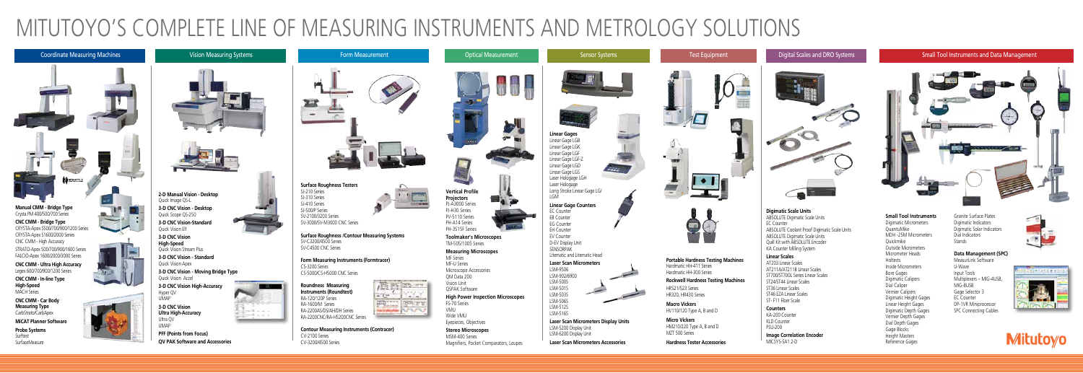**Laser Scan Micrometers Accessories**

**Micro Vickers** HM210/220 Type A, B and D MZT 500 Series



Magnifiers, Pocket Comparators, Loupes





**Portable Hardness Testing Machines** Hardmatic HH-411 Series Hardmatic HH-300 Series

### **Rockwell Hardness Testing Machines**

HR521/523 Series HR320, HR430 Series

**Macro Vickers** HV110/120 Type A, B and D

**Hardness Tester Accessories**



**QV PAK Software and Accessories** 

SurfaceMeasure

CV-3200/4500 Series

### **Small Tool Instruments**

Digimatic Micrometers QuantuMike MDH -25M Micrometers Quickmike Outside Micrometers Micrometer Heads Holtests Inside Micrometers Bore Gages Digimatic Calipers Dial Caliper Vernier Calipers Digimatic Height Gages Linear Height Gages Digimatic Depth Gages Vernier Depth Gages Dial Depth Gages Gage Blocks Height Masters Reference Gages

Granite Surface Plates Digimatic Indicators Digimatic Solar Indicators Dial Indicators Stands

### **Data Management (SPC)**

MeasurLink Software U-Wave Input Tools Multiplexers – MIG-4USB, MIG-8USB Gage Selector 3 EC Counter DP-1VR Miniprocessor SPC Connecting Cables



# 2791483923



 $\sim$ 

**Digimatic Scale Units** ABSOLUTE Digimatic Scale Units EC Counter ABSOLUTE Coolant Proof Digimatic Scale Units ABSOLUTE Digimatic Scale Units Quill Kit with ABSOLUTE Encoder KA Counter Milling System

### **Linear Scales**

AT203 Linear Scales AT211A/AT211B Linear Scales ST700/ST700L Series Linear Scales ST24/ST44 Linear Scales ST36 Linear Scales ST46 EZA Linear Scales ST- F11 Fiber Scale

### **Counters**

KA-200 Counter KLD Counter PSU-200 **Image Correlation Encoder**  MICSYS-SA1 2-D



# MITUTOYO'S COMPLETE LINE OF MEASURING INSTRUMENTS AND METROLOGY SOLUTIONS